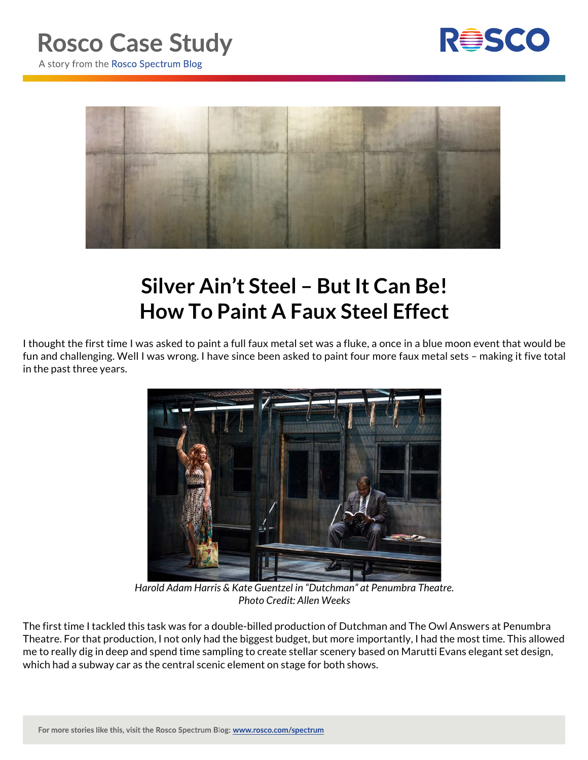



## **Silver Ain't Steel – But It Can Be! How To Paint A Faux Steel Effect**

I thought the first time I was asked to paint a full faux metal set was a fluke, a once in a blue moon event that would be fun and challenging. Well I was wrong. I have since been asked to paint four more faux metal sets – making it five total in the past three years.



*Harold Adam Harris & Kate Guentzel in "Dutchman" at Penumbra Theatre. Photo Credit: Allen Weeks*

The first time I tackled this task was for a double-billed production of Dutchman and The Owl Answers at Penumbra Theatre. For that production, I not only had the biggest budget, but more importantly, I had the most time. This allowed me to really dig in deep and spend time sampling to create stellar scenery based on Marutti Evans elegant set design, which had a subway car as the central scenic element on stage for both shows.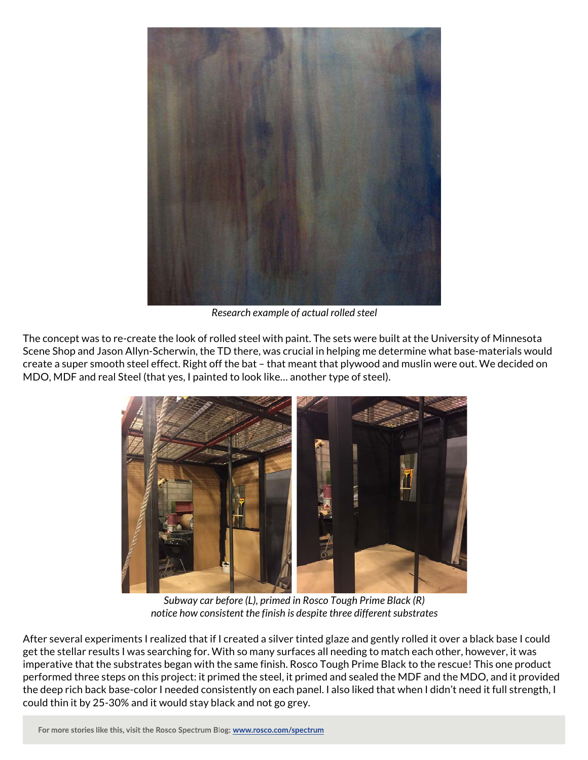

*Research example of actual rolled steel*

The concept was to re-create the look of rolled steel with paint. The sets were built at the University of Minnesota Scene Shop and Jason Allyn-Scherwin, the TD there, was crucial in helping me determine what base-materials would create a super smooth steel effect. Right off the bat – that meant that plywood and muslin were out. We decided on MDO, MDF and real Steel (that yes, I painted to look like… another type of steel).



*Subway car before (L), primed in Rosco Tough Prime Black (R) notice how consistent the finish is despite three different substrates*

After several experiments I realized that if I created a silver tinted glaze and gently rolled it over a black base I could get the stellar results I was searching for. With so many surfaces all needing to match each other, however, it was imperative that the substrates began with the same finish. Rosco Tough Prime Black to the rescue! This one product performed three steps on this project: it primed the steel, it primed and sealed the MDF and the MDO, and it provided the deep rich back base-color I needed consistently on each panel. I also liked that when I didn't need it full strength, I could thin it by 25-30% and it would stay black and not go grey.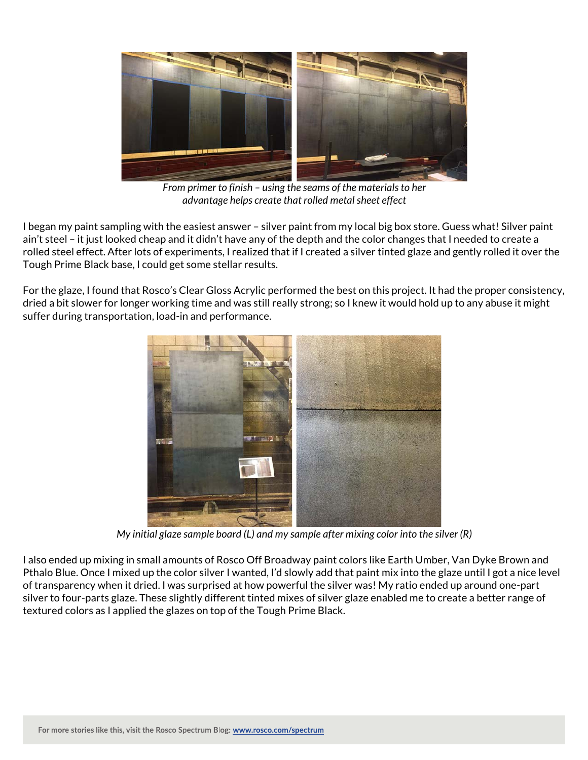

*From primer to finish – using the seams of the materials to her advantage helps create that rolled metal sheet effect*

I began my paint sampling with the easiest answer – silver paint from my local big box store. Guess what! Silver paint ain't steel – it just looked cheap and it didn't have any of the depth and the color changes that I needed to create a rolled steel effect. After lots of experiments, I realized that if I created a silver tinted glaze and gently rolled it over the Tough Prime Black base, I could get some stellar results.

For the glaze, I found that Rosco's Clear Gloss Acrylic performed the best on this project. It had the proper consistency, dried a bit slower for longer working time and was still really strong; so I knew it would hold up to any abuse it might suffer during transportation, load-in and performance.



*My initial glaze sample board (L) and my sample after mixing color into the silver (R)*

I also ended up mixing in small amounts of Rosco Off Broadway paint colors like Earth Umber, Van Dyke Brown and Pthalo Blue. Once I mixed up the color silver I wanted, I'd slowly add that paint mix into the glaze until I got a nice level of transparency when it dried. I was surprised at how powerful the silver was! My ratio ended up around one-part silver to four-parts glaze. These slightly different tinted mixes of silver glaze enabled me to create a better range of textured colors as I applied the glazes on top of the Tough Prime Black.